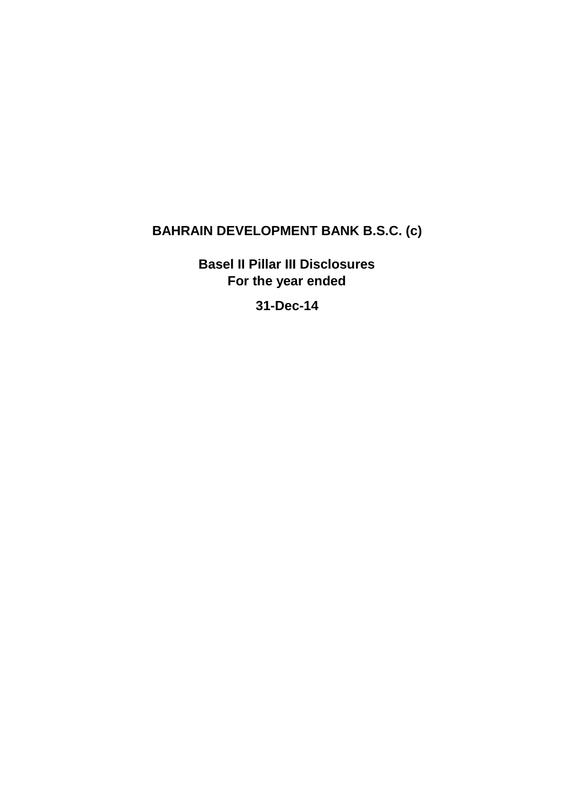# **BAHRAIN DEVELOPMENT BANK B.S.C. (c)**

**Basel II Pillar III Disclosures For the year ended** 

**31-Dec-14**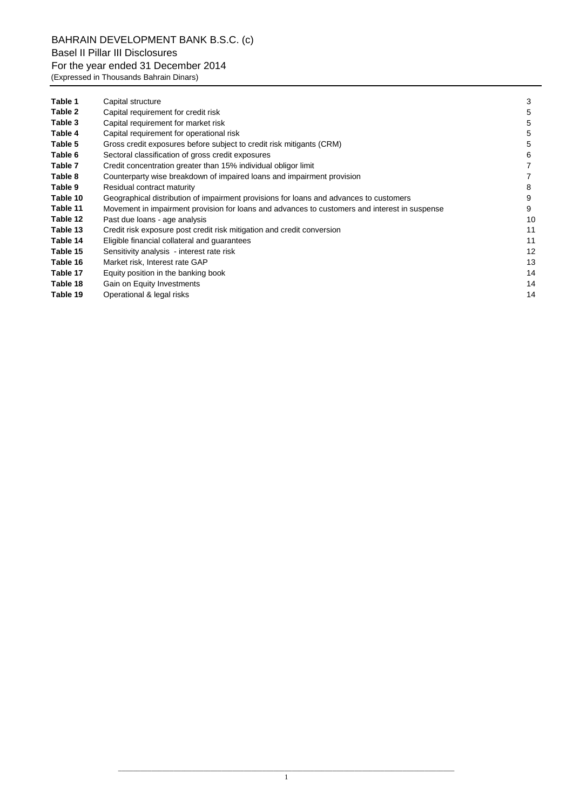| Table 1  | Capital structure                                                                             | 3  |
|----------|-----------------------------------------------------------------------------------------------|----|
| Table 2  | Capital requirement for credit risk                                                           | 5  |
| Table 3  | Capital requirement for market risk                                                           | 5  |
| Table 4  | Capital requirement for operational risk                                                      | 5  |
| Table 5  | Gross credit exposures before subject to credit risk mitigants (CRM)                          | 5  |
| Table 6  | Sectoral classification of gross credit exposures                                             | 6  |
| Table 7  | Credit concentration greater than 15% individual obligor limit                                |    |
| Table 8  | Counterparty wise breakdown of impaired loans and impairment provision                        |    |
| Table 9  | Residual contract maturity                                                                    | 8  |
| Table 10 | Geographical distribution of impairment provisions for loans and advances to customers        | 9  |
| Table 11 | Movement in impairment provision for loans and advances to customers and interest in suspense | 9  |
| Table 12 | Past due loans - age analysis                                                                 | 10 |
| Table 13 | Credit risk exposure post credit risk mitigation and credit conversion                        | 11 |
| Table 14 | Eligible financial collateral and guarantees                                                  | 11 |
| Table 15 | Sensitivity analysis - interest rate risk                                                     | 12 |
| Table 16 | Market risk, Interest rate GAP                                                                | 13 |
| Table 17 | Equity position in the banking book                                                           | 14 |
| Table 18 | Gain on Equity Investments                                                                    | 14 |
| Table 19 | Operational & legal risks                                                                     | 14 |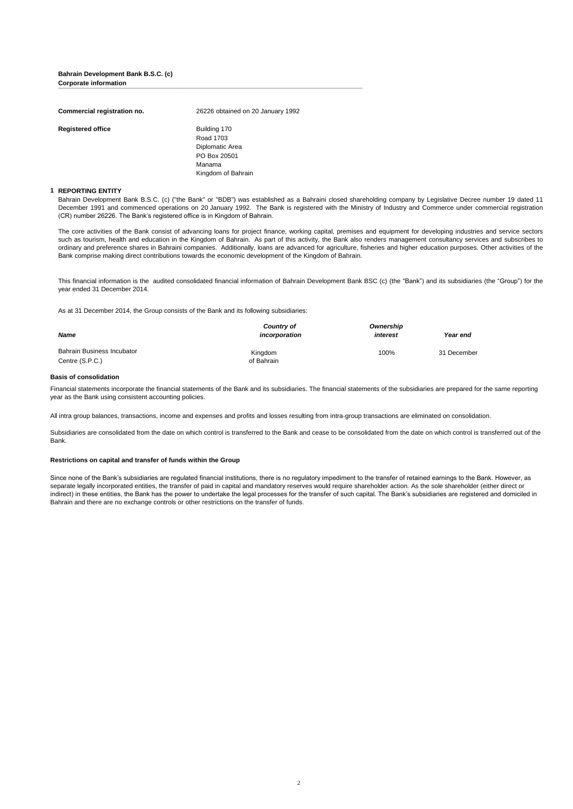#### **Bahrain Development Bank B.S.C. (c) Corporate information Lorporate information**

| Commercial registration no. | 26226 obtained on 20 January 1992                                                            |
|-----------------------------|----------------------------------------------------------------------------------------------|
| <b>Registered office</b>    | Building 170<br>Road 1703<br>Diplomatic Area<br>PO Box 20501<br>Manama<br>Kingdom of Bahrain |

#### **1 REPORTING ENTITY**

Bahrain Development Bank B.S.C. (c) ("the Bank" or "BDB") was established as a Bahraini closed shareholding company by Legislative Decree number 19 dated 11 December 1991 and commenced operations on 20 January 1992. The Bank is registered with the Ministry of Industry and Commerce under commercial registration (CR) number 26226. The Bank's registered office is in Kingdom of Bahrain.

The core activities of the Bank consist of advancing loans for project finance, working capital, premises and equipment for developing industries and service sectors such as tourism, health and education in the Kingdom of Bahrain. As part of this activity, the Bank also renders management consultancy services and subscribes to ordinary and preference shares in Bahraini companies. Additionally, loans are advanced for agriculture, fisheries and higher education purposes. Other activities of the Bank comprise making direct contributions towards the economic development of the Kingdom of Bahrain.

This financial information is the audited consolidated financial information of Bahrain Development Bank BSC (c) (the "Bank") and its subsidiaries (the "Group") for the year ended 31 December 2014.

As at 31 December 2014, the Group consists of the Bank and its following subsidiaries:

| <b>Name</b>                | Country of<br>incorporation | Ownership<br>interest | Year end    |
|----------------------------|-----------------------------|-----------------------|-------------|
| Bahrain Business Incubator | Kingdom                     | 100%                  | 31 December |
| Centre (S.P.C.)            | of Bahrain                  |                       |             |

#### **Basis of consolidation**

Financial statements incorporate the financial statements of the Bank and its subsidiaries. The financial statements of the subsidiaries are prepared for the same reporting year as the Bank using consistent accounting policies.

All intra group balances, transactions, income and expenses and profits and losses resulting from intra-group transactions are eliminated on consolidation.

Subsidiaries are consolidated from the date on which control is transferred to the Bank and cease to be consolidated from the date on which control is transferred out of the Bank.

#### **Restrictions on capital and transfer of funds within the Group**

Since none of the Bank's subsidiaries are regulated financial institutions, there is no regulatory impediment to the transfer of retained earnings to the Bank. However, as separate legally incorporated entities, the transfer of paid in capital and mandatory reserves would require shareholder action. As the sole shareholder (either direct or indirect) in these entities, the Bank has the power to undertake the legal processes for the transfer of such capital. The Bank's subsidiaries are registered and domiciled in Bahrain and there are no exchange controls or other restrictions on the transfer of funds.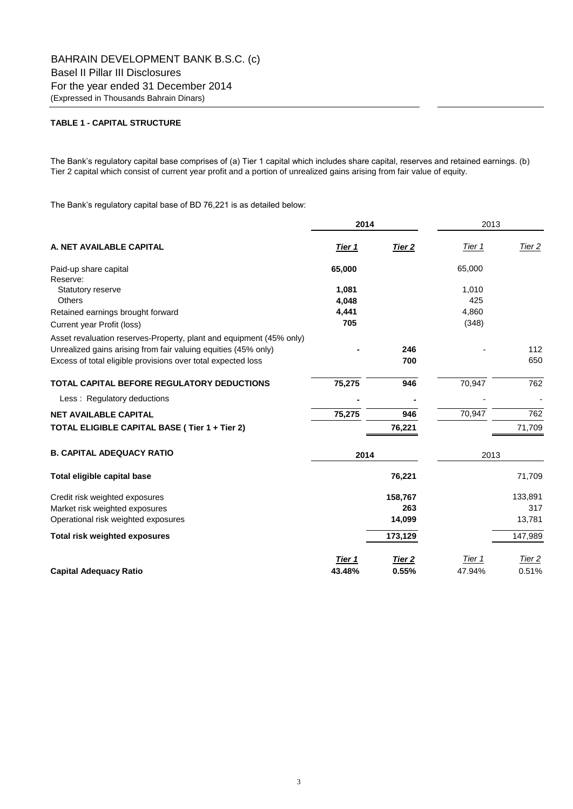# **TABLE 1 - CAPITAL STRUCTURE**

The Bank's regulatory capital base comprises of (a) Tier 1 capital which includes share capital, reserves and retained earnings. (b) Tier 2 capital which consist of current year profit and a portion of unrealized gains arising from fair value of equity.

The Bank's regulatory capital base of BD 76,221 is as detailed below:

|                                                                     | 2014   |                   | 2013   |                   |  |
|---------------------------------------------------------------------|--------|-------------------|--------|-------------------|--|
| A. NET AVAILABLE CAPITAL                                            | Tier 1 | Tier <sub>2</sub> | Tier 1 | <u>Tier 2</u>     |  |
| Paid-up share capital                                               | 65,000 |                   | 65,000 |                   |  |
| Reserve:                                                            |        |                   |        |                   |  |
| <b>Statutory reserve</b>                                            | 1,081  |                   | 1,010  |                   |  |
| <b>Others</b>                                                       | 4,048  |                   | 425    |                   |  |
| Retained earnings brought forward                                   | 4,441  |                   | 4,860  |                   |  |
| Current year Profit (loss)                                          | 705    |                   | (348)  |                   |  |
| Asset revaluation reserves-Property, plant and equipment (45% only) |        |                   |        |                   |  |
| Unrealized gains arising from fair valuing equities (45% only)      |        | 246               |        | 112               |  |
| Excess of total eligible provisions over total expected loss        |        | 700               |        | 650               |  |
| <b>TOTAL CAPITAL BEFORE REGULATORY DEDUCTIONS</b>                   | 75,275 | 946               | 70,947 | 762               |  |
| Less: Regulatory deductions                                         |        |                   |        |                   |  |
| <b>NET AVAILABLE CAPITAL</b>                                        | 75,275 | 946               | 70,947 | 762               |  |
| TOTAL ELIGIBLE CAPITAL BASE (Tier 1 + Tier 2)                       |        | 76,221            |        | 71,709            |  |
| <b>B. CAPITAL ADEQUACY RATIO</b>                                    | 2014   |                   | 2013   |                   |  |
| Total eligible capital base                                         |        | 76,221            |        | 71,709            |  |
| Credit risk weighted exposures                                      |        | 158,767           |        | 133,891           |  |
| Market risk weighted exposures                                      |        | 263               |        | 317               |  |
| Operational risk weighted exposures                                 |        | 14,099            |        | 13,781            |  |
| <b>Total risk weighted exposures</b>                                |        | 173,129           |        | 147,989           |  |
|                                                                     | Tier 1 | Tier <sub>2</sub> | Tier 1 | Tier <sub>2</sub> |  |
| <b>Capital Adequacy Ratio</b>                                       | 43.48% | 0.55%             | 47.94% | 0.51%             |  |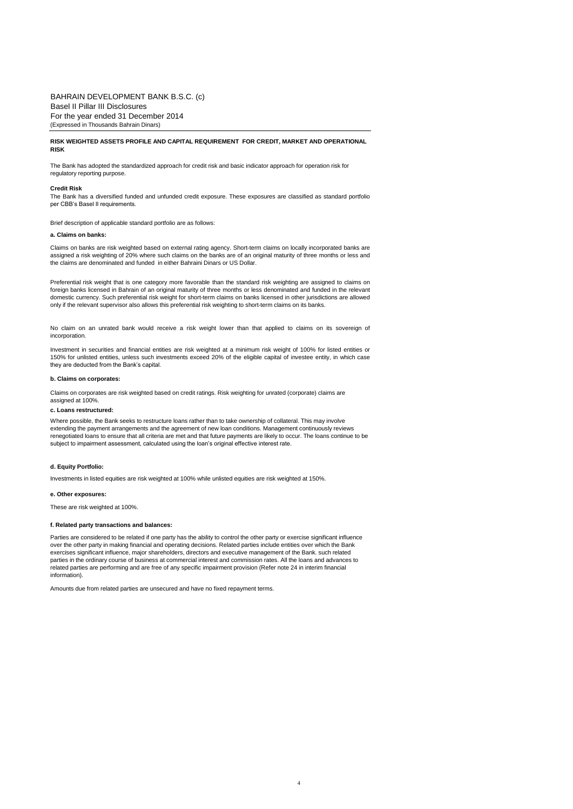#### **RISK WEIGHTED ASSETS PROFILE AND CAPITAL REQUIREMENT FOR CREDIT, MARKET AND OPERATIONAL RISK**

The Bank has adopted the standardized approach for credit risk and basic indicator approach for operation risk for regulatory reporting purpose.

#### **Credit Risk**

The Bank has a diversified funded and unfunded credit exposure. These exposures are classified as standard portfolio per CBB's Basel II requirements.

Brief description of applicable standard portfolio are as follows:

#### **a. Claims on banks:**

Claims on banks are risk weighted based on external rating agency. Short-term claims on locally incorporated banks are assigned a risk weighting of 20% where such claims on the banks are of an original maturity of three months or less and the claims are denominated and funded in either Bahraini Dinars or US Dollar.

Preferential risk weight that is one category more favorable than the standard risk weighting are assigned to claims on foreign banks licensed in Bahrain of an original maturity of three months or less denominated and funded in the relevant domestic currency. Such preferential risk weight for short-term claims on banks licensed in other jurisdictions are allowed only if the relevant supervisor also allows this preferential risk weighting to short-term claims on its banks.

No claim on an unrated bank would receive a risk weight lower than that applied to claims on its sovereign of incorporation

Investment in securities and financial entities are risk weighted at a minimum risk weight of 100% for listed entities or 150% for unlisted entities, unless such investments exceed 20% of the eligible capital of investee entity, in which case they are deducted from the Bank's capital.

#### **b. Claims on corporates:**

Claims on corporates are risk weighted based on credit ratings. Risk weighting for unrated (corporate) claims are assigned at 100%.

#### **c. Loans restructured:**

Where possible, the Bank seeks to restructure loans rather than to take ownership of collateral. This may involve extending the payment arrangements and the agreement of new loan conditions. Management continuously reviews renegotiated loans to ensure that all criteria are met and that future payments are likely to occur. The loans continue to be subject to impairment assessment, calculated using the loan's original effective interest rate.

#### **d. Equity Portfolio:**

Investments in listed equities are risk weighted at 100% while unlisted equities are risk weighted at 150%.

#### **e. Other exposures:**

These are risk weighted at 100%.

#### **f. Related party transactions and balances:**

Parties are considered to be related if one party has the ability to control the other party or exercise significant influence over the other party in making financial and operating decisions. Related parties include entities over which the Bank exercises significant influence, major shareholders, directors and executive management of the Bank. such related parties in the ordinary course of business at commercial interest and commission rates. All the loans and advances to related parties are performing and are free of any specific impairment provision (Refer note 24 in interim financial information).

4

Amounts due from related parties are unsecured and have no fixed repayment terms.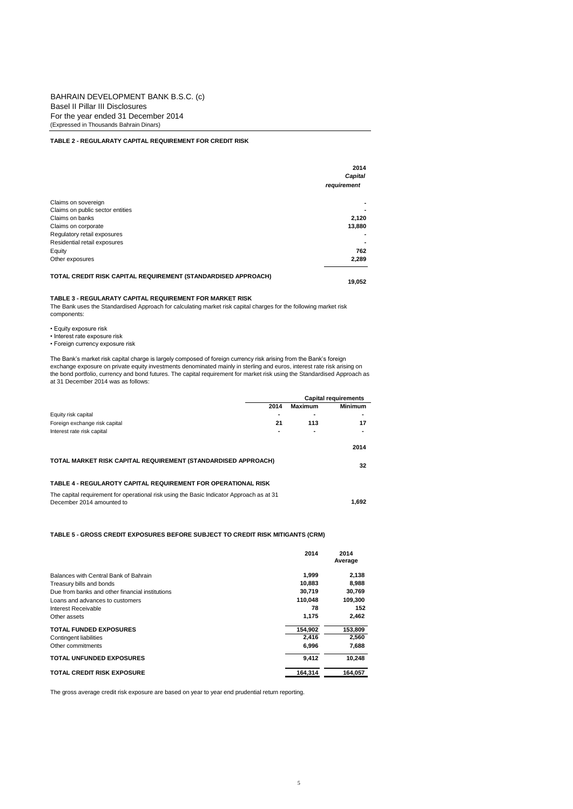### **TABLE 2 - REGULARATY CAPITAL REQUIREMENT FOR CREDIT RISK**

|                                                               | 2014<br>Capital |
|---------------------------------------------------------------|-----------------|
|                                                               | requirement     |
| Claims on sovereign                                           |                 |
| Claims on public sector entities                              |                 |
| Claims on banks                                               | 2,120           |
| Claims on corporate                                           | 13,880          |
| Regulatory retail exposures                                   |                 |
| Residential retail exposures                                  |                 |
| Equity                                                        | 762             |
| Other exposures                                               | 2,289           |
| TOTAL CREDIT RISK CAPITAL REQUIREMENT (STANDARDISED APPROACH) | 19.052          |

#### **TABLE 3 - REGULARATY CAPITAL REQUIREMENT FOR MARKET RISK**

The Bank uses the Standardised Approach for calculating market risk capital charges for the following market risk components:

- Equity exposure risk
- Interest rate exposure risk
- Foreign currency exposure risk

The Bank's market risk capital charge is largely composed of foreign currency risk arising from the Bank's foreign exchange exposure on private equity investments denominated mainly in sterling and euros, interest rate risk arising on<br>the bond portfolio, currency and bond futures. The capital requirement for market risk using the Stand

|                                                                                                                       |      | <b>Capital requirements</b> |                |  |
|-----------------------------------------------------------------------------------------------------------------------|------|-----------------------------|----------------|--|
|                                                                                                                       | 2014 | Maximum                     | <b>Minimum</b> |  |
| Equity risk capital                                                                                                   |      |                             |                |  |
| Foreign exchange risk capital                                                                                         | 21   | 113                         | 17             |  |
| Interest rate risk capital                                                                                            |      | ۰                           |                |  |
|                                                                                                                       |      |                             | 2014           |  |
| TOTAL MARKET RISK CAPITAL REQUIREMENT (STANDARDISED APPROACH)                                                         |      |                             | 32             |  |
| TABLE 4 - REGULAROTY CAPITAL REQUIREMENT FOR OPERATIONAL RISK                                                         |      |                             |                |  |
| The capital requirement for operational risk using the Basic Indicator Approach as at 31<br>December 2014 amounted to |      |                             | 1.692          |  |

### **TABLE 5 - GROSS CREDIT EXPOSURES BEFORE SUBJECT TO CREDIT RISK MITIGANTS (CRM)**

|                                                 | 2014    | 2014<br>Average |
|-------------------------------------------------|---------|-----------------|
| Balances with Central Bank of Bahrain           | 1,999   | 2,138           |
| Treasury bills and bonds                        | 10.883  | 8,988           |
| Due from banks and other financial institutions | 30.719  | 30.769          |
| Loans and advances to customers                 | 110.048 | 109,300         |
| Interest Receivable                             | 78      | 152             |
| Other assets                                    | 1.175   | 2,462           |
| <b>TOTAL FUNDED EXPOSURES</b>                   | 154.902 | 153,809         |
| Contingent liabilities                          | 2.416   | 2.560           |
| Other commitments                               | 6,996   | 7,688           |
| <b>TOTAL UNFUNDED EXPOSURES</b>                 | 9.412   | 10.248          |
| <b>TOTAL CREDIT RISK EXPOSURE</b>               | 164.314 | 164.057         |

The gross average credit risk exposure are based on year to year end prudential return reporting.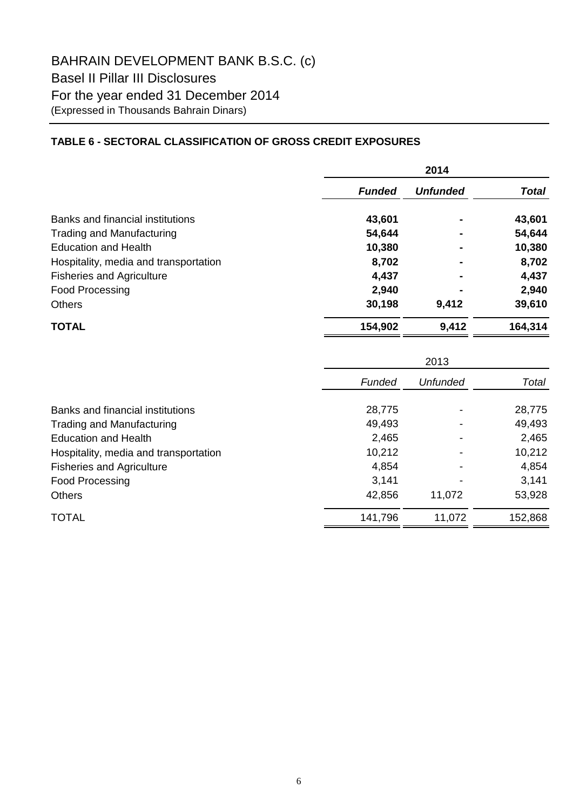# **TABLE 6 - SECTORAL CLASSIFICATION OF GROSS CREDIT EXPOSURES**

|                                       | 2014          |                 |              |  |
|---------------------------------------|---------------|-----------------|--------------|--|
|                                       | <b>Funded</b> | <b>Unfunded</b> | <b>Total</b> |  |
| Banks and financial institutions      | 43,601        |                 | 43,601       |  |
| <b>Trading and Manufacturing</b>      | 54,644        |                 | 54,644       |  |
| <b>Education and Health</b>           | 10,380        |                 | 10,380       |  |
| Hospitality, media and transportation | 8,702         |                 | 8,702        |  |
| <b>Fisheries and Agriculture</b>      | 4,437         |                 | 4,437        |  |
| Food Processing                       | 2,940         |                 | 2,940        |  |
| <b>Others</b>                         | 30,198        | 9,412           | 39,610       |  |
| <b>TOTAL</b>                          | 154,902       | 9,412           | 164,314      |  |

|                                       |         | 2013            |         |  |  |
|---------------------------------------|---------|-----------------|---------|--|--|
|                                       | Funded  | <b>Unfunded</b> | Total   |  |  |
| Banks and financial institutions      | 28,775  |                 | 28,775  |  |  |
| <b>Trading and Manufacturing</b>      | 49,493  |                 | 49,493  |  |  |
| <b>Education and Health</b>           | 2,465   |                 | 2,465   |  |  |
| Hospitality, media and transportation | 10,212  |                 | 10,212  |  |  |
| <b>Fisheries and Agriculture</b>      | 4,854   |                 | 4,854   |  |  |
| <b>Food Processing</b>                | 3,141   |                 | 3,141   |  |  |
| <b>Others</b>                         | 42,856  | 11,072          | 53,928  |  |  |
| <b>TOTAL</b>                          | 141,796 | 11,072          | 152,868 |  |  |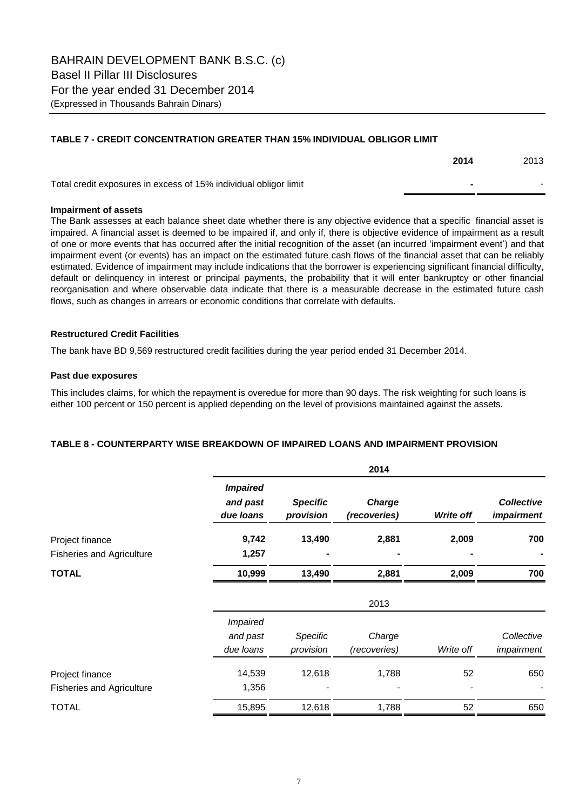# **TABLE 7 - CREDIT CONCENTRATION GREATER THAN 15% INDIVIDUAL OBLIGOR LIMIT**

|                                                                  | 2014 | 2013 |
|------------------------------------------------------------------|------|------|
| Total credit exposures in excess of 15% individual obligor limit |      |      |

# **Impairment of assets**

The Bank assesses at each balance sheet date whether there is any objective evidence that a specific financial asset is impaired. A financial asset is deemed to be impaired if, and only if, there is objective evidence of impairment as a result of one or more events that has occurred after the initial recognition of the asset (an incurred 'impairment event') and that impairment event (or events) has an impact on the estimated future cash flows of the financial asset that can be reliably estimated. Evidence of impairment may include indications that the borrower is experiencing significant financial difficulty, default or delinquency in interest or principal payments, the probability that it will enter bankruptcy or other financial reorganisation and where observable data indicate that there is a measurable decrease in the estimated future cash flows, such as changes in arrears or economic conditions that correlate with defaults.

# **Restructured Credit Facilities**

The bank have BD 9,569 restructured credit facilities during the year period ended 31 December 2014.

# **Past due exposures**

This includes claims, for which the repayment is overedue for more than 90 days. The risk weighting for such loans is either 100 percent or 150 percent is applied depending on the level of provisions maintained against the assets.

# **TABLE 8 - COUNTERPARTY WISE BREAKDOWN OF IMPAIRED LOANS AND IMPAIRMENT PROVISION**

|                                  |                                          |                              | 2014                          |                  |                                        |
|----------------------------------|------------------------------------------|------------------------------|-------------------------------|------------------|----------------------------------------|
|                                  | <b>Impaired</b><br>and past<br>due loans | <b>Specific</b><br>provision | <b>Charge</b><br>(recoveries) | <b>Write off</b> | <b>Collective</b><br><i>impairment</i> |
| Project finance                  | 9,742                                    | 13,490                       | 2,881                         | 2,009            | 700                                    |
| <b>Fisheries and Agriculture</b> | 1,257                                    |                              |                               |                  |                                        |
| <b>TOTAL</b>                     | 10,999                                   | 13,490                       | 2,881                         | 2,009            | 700                                    |
|                                  |                                          |                              | 2013                          |                  |                                        |
|                                  | <b>Impaired</b>                          |                              |                               |                  |                                        |
|                                  | and past                                 | Specific                     | Charge                        |                  | Collective                             |
|                                  | due loans                                | provision                    | (recoveries)                  | Write off        | impairment                             |
| Project finance                  | 14,539                                   | 12,618                       | 1,788                         | 52               | 650                                    |
| <b>Fisheries and Agriculture</b> | 1,356                                    |                              |                               |                  |                                        |
| <b>TOTAL</b>                     | 15,895                                   | 12,618                       | 1,788                         | 52               | 650                                    |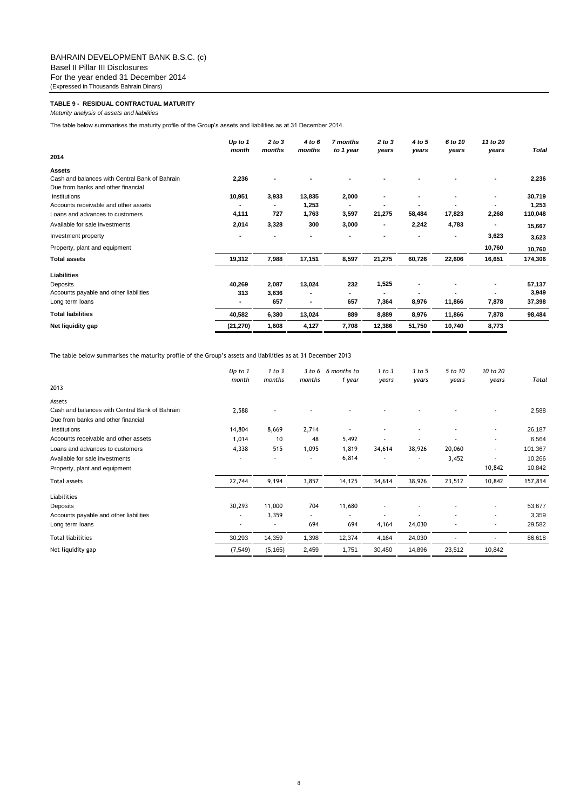### **TABLE 9 - RESIDUAL CONTRACTUAL MATURITY**

*Maturity analysis of assets and liabilities*

The table below summarises the maturity profile of the Group's assets and liabilities as at 31 December 2014.

|                                                | Up to $1$<br>month       | 2 to 3<br>months | 4 to 6<br>months | 7 months<br>to 1 year | 2 to 3<br>years | 4 to 5<br>years | 6 to 10<br>years | 11 to 20<br>years | <b>Total</b> |
|------------------------------------------------|--------------------------|------------------|------------------|-----------------------|-----------------|-----------------|------------------|-------------------|--------------|
| 2014                                           |                          |                  |                  |                       |                 |                 |                  |                   |              |
| <b>Assets</b>                                  |                          |                  |                  |                       |                 |                 |                  |                   |              |
| Cash and balances with Central Bank of Bahrain | 2,236                    |                  |                  |                       |                 |                 |                  |                   | 2,236        |
| Due from banks and other financial             |                          |                  |                  |                       |                 |                 |                  |                   |              |
| institutions                                   | 10,951                   | 3,933            | 13,835           | 2,000                 |                 |                 |                  |                   | 30,719       |
| Accounts receivable and other assets           | $\overline{\phantom{a}}$ |                  | 1,253            |                       |                 |                 |                  |                   | 1,253        |
| Loans and advances to customers                | 4,111                    | 727              | 1,763            | 3,597                 | 21,275          | 58,484          | 17,823           | 2,268             | 110,048      |
| Available for sale investments                 | 2,014                    | 3,328            | 300              | 3,000                 | $\blacksquare$  | 2,242           | 4,783            |                   | 15,667       |
| Investment property                            |                          |                  |                  |                       |                 |                 |                  | 3,623             | 3,623        |
| Property, plant and equipment                  |                          |                  |                  |                       |                 |                 |                  | 10,760            | 10,760       |
| <b>Total assets</b>                            | 19,312                   | 7,988            | 17,151           | 8,597                 | 21,275          | 60,726          | 22,606           | 16,651            | 174,306      |
| Liabilities                                    |                          |                  |                  |                       |                 |                 |                  |                   |              |
| Deposits                                       | 40,269                   | 2,087            | 13,024           | 232                   | 1,525           |                 |                  | ۰                 | 57,137       |
| Accounts payable and other liabilities         | 313                      | 3,636            |                  | $\blacksquare$        | $\blacksquare$  |                 |                  |                   | 3,949        |
| Long term loans                                | ٠                        | 657              |                  | 657                   | 7,364           | 8,976           | 11,866           | 7,878             | 37,398       |
| <b>Total liabilities</b>                       | 40,582                   | 6,380            | 13,024           | 889                   | 8,889           | 8,976           | 11,866           | 7,878             | 98,484       |
| Net liquidity gap                              | (21, 270)                | 1,608            | 4,127            | 7,708                 | 12,386          | 51,750          | 10,740           | 8,773             |              |

The table below summarises the maturity profile of the Group's assets and liabilities as at 31 December 2013

|                                                | Up to 1<br>month | 1 to 3<br>months | 3 to 6<br>months | 6 months to<br>1 year | 1 to 3<br>years | 3 to 5<br>years | 5 to 10<br>years | 10 to 20<br>years | Total   |
|------------------------------------------------|------------------|------------------|------------------|-----------------------|-----------------|-----------------|------------------|-------------------|---------|
| 2013                                           |                  |                  |                  |                       |                 |                 |                  |                   |         |
| Assets                                         |                  |                  |                  |                       |                 |                 |                  |                   |         |
| Cash and balances with Central Bank of Bahrain | 2,588            |                  |                  |                       |                 |                 |                  |                   | 2,588   |
| Due from banks and other financial             |                  |                  |                  |                       |                 |                 |                  |                   |         |
| institutions                                   | 14,804           | 8,669            | 2,714            |                       |                 |                 | ٠                | ٠                 | 26,187  |
| Accounts receivable and other assets           | 1,014            | 10               | 48               | 5,492                 |                 |                 |                  | ٠                 | 6,564   |
| Loans and advances to customers                | 4,338            | 515              | 1,095            | 1,819                 | 34,614          | 38,926          | 20,060           | ٠                 | 101,367 |
| Available for sale investments                 |                  |                  |                  | 6,814                 |                 |                 | 3,452            |                   | 10,266  |
| Property, plant and equipment                  |                  |                  |                  |                       |                 |                 |                  | 10,842            | 10,842  |
| Total assets                                   | 22,744           | 9,194            | 3,857            | 14,125                | 34,614          | 38,926          | 23,512           | 10,842            | 157,814 |
| Liabilities                                    |                  |                  |                  |                       |                 |                 |                  |                   |         |
| Deposits                                       | 30,293           | 11,000           | 704              | 11,680                |                 |                 |                  | ٠                 | 53,677  |
| Accounts payable and other liabilities         | ٠                | 3,359            | $\sim$           |                       |                 |                 | ٠                | ٠                 | 3,359   |
| Long term loans                                | ٠                |                  | 694              | 694                   | 4,164           | 24,030          |                  | ٠                 | 29,582  |
| <b>Total liabilities</b>                       | 30,293           | 14,359           | 1,398            | 12,374                | 4,164           | 24,030          |                  |                   | 86,618  |
| Net liquidity gap                              | (7, 549)         | (5, 165)         | 2,459            | 1,751                 | 30,450          | 14,896          | 23,512           | 10,842            |         |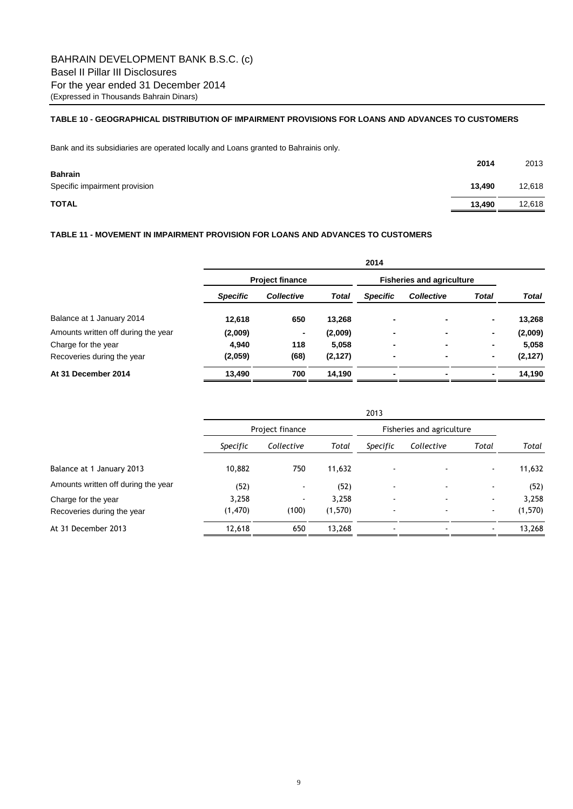## **TABLE 10 - GEOGRAPHICAL DISTRIBUTION OF IMPAIRMENT PROVISIONS FOR LOANS AND ADVANCES TO CUSTOMERS**

Bank and its subsidiaries are operated locally and Loans granted to Bahrainis only.

|                                                 | 2014   | 2013   |
|-------------------------------------------------|--------|--------|
| <b>Bahrain</b><br>Specific impairment provision | 13,490 | 12,618 |
| <b>TOTAL</b>                                    | 13,490 | 12,618 |

## **TABLE 11 - MOVEMENT IN IMPAIRMENT PROVISION FOR LOANS AND ADVANCES TO CUSTOMERS**

|                                     | 2014                   |                   |          |                                  |                          |       |          |  |  |
|-------------------------------------|------------------------|-------------------|----------|----------------------------------|--------------------------|-------|----------|--|--|
|                                     | <b>Project finance</b> |                   |          | <b>Fisheries and agriculture</b> |                          |       |          |  |  |
|                                     | <b>Specific</b>        | <b>Collective</b> | Total    | <b>Specific</b>                  | <b>Collective</b>        | Total | Total    |  |  |
| Balance at 1 January 2014           | 12,618                 | 650               | 13,268   | ۰                                | $\overline{\phantom{a}}$ | ٠     | 13,268   |  |  |
| Amounts written off during the year | (2,009)                | ٠                 | (2,009)  | ۰                                |                          | ٠     | (2,009)  |  |  |
| Charge for the year                 | 4,940                  | 118               | 5,058    | ۰                                |                          | ۰     | 5,058    |  |  |
| Recoveries during the year          | (2,059)                | (68)              | (2, 127) | ۰                                |                          | ۰     | (2, 127) |  |  |
| At 31 December 2014                 | 13,490                 | 700               | 14,190   | ۰                                |                          |       | 14,190   |  |  |

|                                                   |                   | 2013                              |                  |                                                      |                           |                  |                  |  |  |  |
|---------------------------------------------------|-------------------|-----------------------------------|------------------|------------------------------------------------------|---------------------------|------------------|------------------|--|--|--|
|                                                   |                   | Project finance                   |                  |                                                      | Fisheries and agriculture |                  |                  |  |  |  |
|                                                   | Specific          | Collective                        | Total            | Specific                                             | Collective                | Total            | Total            |  |  |  |
| Balance at 1 January 2013                         | 10,882            | 750                               | 11,632           | $\blacksquare$                                       |                           | $\sim$           | 11,632           |  |  |  |
| Amounts written off during the year               | (52)              | $\blacksquare$                    | (52)             | $\overline{\phantom{a}}$                             |                           | $\blacksquare$   | (52)             |  |  |  |
| Charge for the year<br>Recoveries during the year | 3,258<br>(1, 470) | $\overline{\phantom{a}}$<br>(100) | 3,258<br>(1,570) | $\overline{\phantom{a}}$<br>$\overline{\phantom{a}}$ |                           | $\sim$<br>$\sim$ | 3,258<br>(1,570) |  |  |  |
| At 31 December 2013                               | 12,618            | 650                               | 13,268           | $\overline{\phantom{a}}$                             |                           |                  | 13,268           |  |  |  |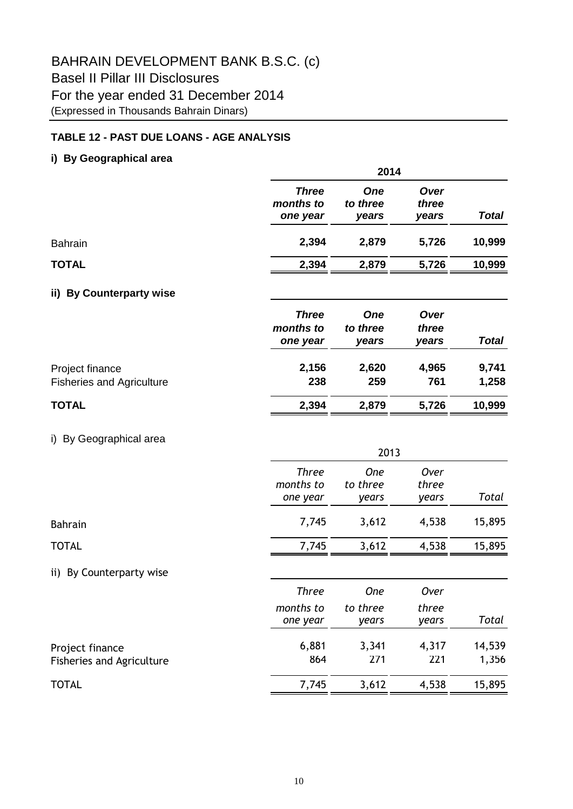# **TABLE 12 - PAST DUE LOANS - AGE ANALYSIS**

# **i) By Geographical area**

|                                                     |                                       | 2014                            |                        |                |  |  |  |  |
|-----------------------------------------------------|---------------------------------------|---------------------------------|------------------------|----------------|--|--|--|--|
|                                                     | <b>Three</b><br>months to<br>one year | <b>One</b><br>to three<br>years | Over<br>three<br>years | <b>Total</b>   |  |  |  |  |
| <b>Bahrain</b>                                      | 2,394                                 | 2,879                           | 5,726                  | 10,999         |  |  |  |  |
| <b>TOTAL</b>                                        | 2,394                                 | 2,879                           | 5,726                  | 10,999         |  |  |  |  |
| <b>By Counterparty wise</b><br>ii)                  |                                       |                                 |                        |                |  |  |  |  |
|                                                     | <b>Three</b><br>months to<br>one year | <b>One</b><br>to three<br>years | Over<br>three<br>years | <b>Total</b>   |  |  |  |  |
| Project finance<br><b>Fisheries and Agriculture</b> | 2,156<br>238                          | 2,620<br>259                    | 4,965<br>761           | 9,741<br>1,258 |  |  |  |  |
| <b>TOTAL</b>                                        | 2,394                                 | 2,879                           | 5,726                  | 10,999         |  |  |  |  |
| i) By Geographical area                             |                                       | 2013                            |                        |                |  |  |  |  |
|                                                     | <b>Three</b><br>months to<br>one year | One<br>to three<br>years        | Over<br>three<br>years | Total          |  |  |  |  |
| <b>Bahrain</b>                                      | 7,745                                 | 3,612                           | 4,538                  | 15,895         |  |  |  |  |
| <b>TOTAL</b>                                        | 7,745                                 | 3,612                           | 4,538                  | 15,895         |  |  |  |  |

ii) By Counterparty wise

|                                                     | Three<br>months to<br>one year | <b>One</b><br>to three<br>vears | Over<br>three<br>years | Total           |
|-----------------------------------------------------|--------------------------------|---------------------------------|------------------------|-----------------|
| Project finance<br><b>Fisheries and Agriculture</b> | 6,881<br>864                   | 3,341<br>271                    | 4,317<br>221           | 14,539<br>1,356 |
| <b>TOTAL</b>                                        | 7,745                          | 3,612                           | 4,538                  | 15,895          |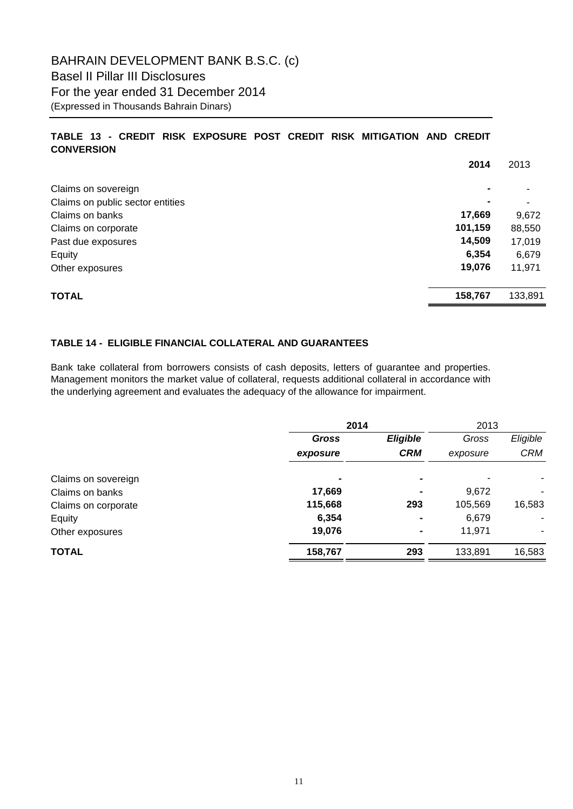# **TABLE 13 - CREDIT RISK EXPOSURE POST CREDIT RISK MITIGATION AND CREDIT CONVERSION**

|                                  | 2014           | 2013    |
|----------------------------------|----------------|---------|
| Claims on sovereign              | $\blacksquare$ |         |
| Claims on public sector entities |                |         |
| Claims on banks                  | 17,669         | 9,672   |
| Claims on corporate              | 101,159        | 88,550  |
| Past due exposures               | 14,509         | 17,019  |
| Equity                           | 6,354          | 6,679   |
| Other exposures                  | 19,076         | 11,971  |
| <b>TOTAL</b>                     | 158,767        | 133,891 |

# **TABLE 14 - ELIGIBLE FINANCIAL COLLATERAL AND GUARANTEES**

Bank take collateral from borrowers consists of cash deposits, letters of guarantee and properties. Management monitors the market value of collateral, requests additional collateral in accordance with the underlying agreement and evaluates the adequacy of the allowance for impairment.

|                     | 2014     |                 | 2013     |            |  |
|---------------------|----------|-----------------|----------|------------|--|
|                     | Gross    | <b>Eligible</b> | Gross    | Eligible   |  |
|                     | exposure | <b>CRM</b>      | exposure | <b>CRM</b> |  |
| Claims on sovereign | ٠        | $\blacksquare$  |          | ۰          |  |
| Claims on banks     | 17,669   | $\blacksquare$  | 9,672    | ٠          |  |
| Claims on corporate | 115,668  | 293             | 105,569  | 16,583     |  |
| Equity              | 6,354    |                 | 6,679    |            |  |
| Other exposures     | 19,076   | ۰               | 11,971   |            |  |
| <b>TOTAL</b>        | 158,767  | 293             | 133,891  | 16,583     |  |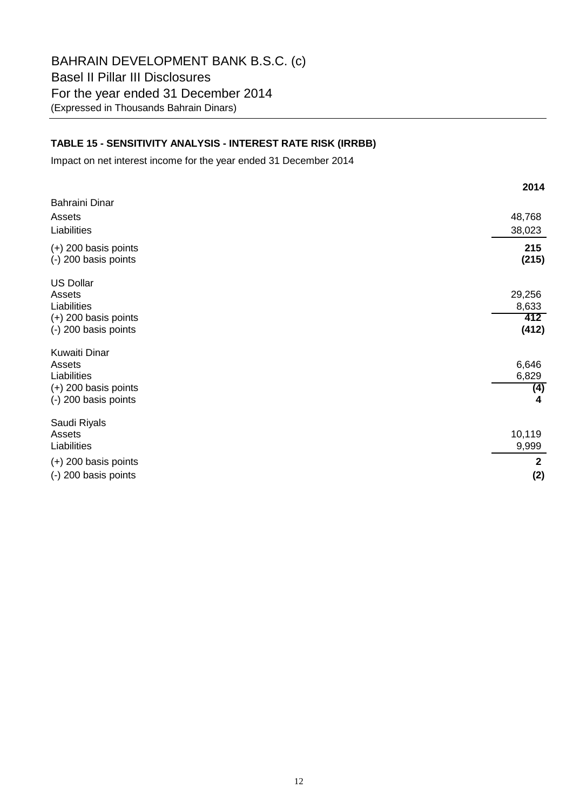# **TABLE 15 - SENSITIVITY ANALYSIS - INTEREST RATE RISK (IRRBB)**

Impact on net interest income for the year ended 31 December 2014

|                        | 2014         |
|------------------------|--------------|
| Bahraini Dinar         |              |
| Assets                 | 48,768       |
| Liabilities            | 38,023       |
| $(+)$ 200 basis points | 215          |
| (-) 200 basis points   | (215)        |
| <b>US Dollar</b>       |              |
| Assets                 | 29,256       |
| Liabilities            | 8,633        |
| $(+)$ 200 basis points | 412          |
| (-) 200 basis points   | (412)        |
| <b>Kuwaiti Dinar</b>   |              |
| Assets                 | 6,646        |
| Liabilities            | 6,829        |
| $(+)$ 200 basis points | (4)          |
| (-) 200 basis points   | 4            |
| Saudi Riyals           |              |
| Assets                 | 10,119       |
| Liabilities            | 9,999        |
| $(+)$ 200 basis points | $\mathbf{2}$ |
| (-) 200 basis points   | (2)          |
|                        |              |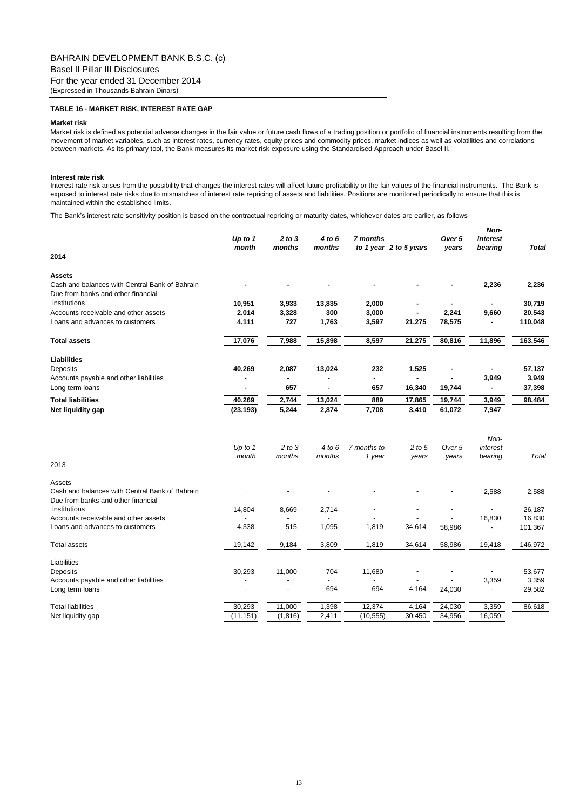### **TABLE 16 - MARKET RISK, INTEREST RATE GAP**

### **Market risk**

Market risk is defined as potential adverse changes in the fair value or future cash flows of a trading position or portfolio of financial instruments resulting from the movement of market variables, such as interest rates, currency rates, equity prices and commodity prices, market indices as well as volatilities and correlations between markets. As its primary tool, the Bank measures its market risk exposure using the Standardised Approach under Basel II.

#### **Interest rate risk**

Interest rate risk arises from the possibility that changes the interest rates will affect future profitability or the fair values of the financial instruments. The Bank is exposed to interest rate risks due to mismatches of interest rate repricing of assets and liabilities. Positions are monitored periodically to ensure that this is maintained within the established limits.

*Non-*

The Bank's interest rate sensitivity position is based on the contractual repricing or maturity dates, whichever dates are earlier, as follows

| 2014                                                                    | Up to $1$<br>month | 2 to 3<br>months     | 4 to 6<br>months | 7 months              | to 1 year 2 to 5 years | Over 5<br>years | <i>IVOH-</i><br>interest<br>bearing | Total             |
|-------------------------------------------------------------------------|--------------------|----------------------|------------------|-----------------------|------------------------|-----------------|-------------------------------------|-------------------|
|                                                                         |                    |                      |                  |                       |                        |                 |                                     |                   |
| <b>Assets</b>                                                           |                    |                      |                  |                       |                        |                 |                                     |                   |
| Cash and balances with Central Bank of Bahrain                          |                    |                      |                  |                       |                        |                 | 2,236                               | 2,236             |
| Due from banks and other financial                                      |                    |                      |                  |                       |                        |                 |                                     | 30,719            |
| institutions                                                            | 10,951             | 3,933                | 13,835<br>300    | 2,000                 | $\blacksquare$         |                 |                                     |                   |
| Accounts receivable and other assets<br>Loans and advances to customers | 2,014              | 3,328<br>727         | 1,763            | 3,000                 |                        | 2,241           | 9,660                               | 20,543<br>110,048 |
|                                                                         | 4,111              |                      |                  | 3,597                 | 21,275                 | 78,575          |                                     |                   |
| <b>Total assets</b>                                                     | 17,076             | 7,988                | 15,898           | 8,597                 | 21,275                 | 80,816          | 11,896                              | 163,546           |
| <b>Liabilities</b>                                                      |                    |                      |                  |                       |                        |                 |                                     |                   |
| Deposits                                                                | 40,269             | 2,087                | 13,024           | 232                   | 1,525                  | ä,              |                                     | 57,137            |
| Accounts payable and other liabilities                                  |                    | ٠                    |                  | $\blacksquare$        | $\blacksquare$         |                 | 3,949                               | 3,949             |
| Long term loans                                                         |                    | 657                  |                  | 657                   | 16,340                 | 19,744          |                                     | 37,398            |
| <b>Total liabilities</b>                                                | 40,269             | 2,744                | 13,024           | 889                   | 17,865                 | 19,744          | 3,949                               | 98,484            |
| Net liquidity gap                                                       | (23, 193)          | 5,244                | 2,874            | 7,708                 | 3,410                  | 61,072          | 7,947                               |                   |
| 2013                                                                    | Up to $1$<br>month | $2$ to $3$<br>months | 4 to 6<br>months | 7 months to<br>1 year | $2$ to $5$<br>years    | Over 5<br>years | Non-<br>interest<br>bearing         | Total             |
|                                                                         |                    |                      |                  |                       |                        |                 |                                     |                   |
| Assets<br>Cash and balances with Central Bank of Bahrain                |                    |                      |                  |                       |                        |                 | 2,588                               |                   |
| Due from banks and other financial                                      |                    |                      |                  |                       |                        |                 |                                     | 2,588             |
| institutions                                                            | 14,804             | 8,669                | 2,714            |                       |                        |                 |                                     | 26,187            |
| Accounts receivable and other assets                                    |                    |                      |                  |                       |                        |                 | 16,830                              | 16,830            |
| Loans and advances to customers                                         | 4,338              | 515                  | 1,095            | 1,819                 | 34,614                 | 58,986          |                                     | 101,367           |
| <b>Total assets</b>                                                     | 19,142             | 9,184                | 3.809            | 1,819                 | 34,614                 | 58,986          | 19,418                              | 146,972           |
|                                                                         |                    |                      |                  |                       |                        |                 |                                     |                   |
| Liabilities                                                             |                    |                      |                  |                       |                        |                 |                                     |                   |
| Deposits<br>Accounts payable and other liabilities                      | 30,293             | 11,000               | 704              | 11,680                |                        |                 | $\overline{a}$<br>3,359             | 53,677<br>3,359   |
| Long term loans                                                         |                    |                      | 694              | 694                   | 4,164                  | 24,030          | ÷,                                  | 29,582            |
|                                                                         |                    |                      |                  |                       |                        |                 |                                     |                   |
| <b>Total liabilities</b>                                                | 30,293             | 11,000               | 1,398            | 12,374                | 4,164                  | 24,030          | 3,359                               | 86,618            |
| Net liquidity gap                                                       | (11, 151)          | (1, 816)             | 2,411            | (10, 555)             | 30,450                 | 34,956          | 16,059                              |                   |